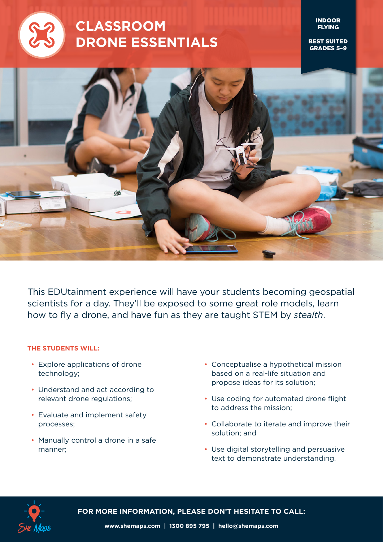

# **CLASSROOM DRONE ESSENTIALS**

INDOOR FLYING

BEST SUITED GRADES 5–9



This EDUtainment experience will have your students becoming geospatial scientists for a day. They'll be exposed to some great role models, learn how to fly a drone, and have fun as they are taught STEM by *stealth*.

#### **THE STUDENTS WILL:**

- Explore applications of drone technology;
- Understand and act according to relevant drone regulations;
- Evaluate and implement safety processes;
- Manually control a drone in a safe manner;
- Conceptualise a hypothetical mission based on a real-life situation and propose ideas for its solution;
- Use coding for automated drone flight to address the mission;
- Collaborate to iterate and improve their solution; and
- Use digital storytelling and persuasive text to demonstrate understanding.



**FOR MORE INFORMATION, PLEASE DON'T HESITATE TO CALL:**

**www.shemaps.com | 1300 895 795 | hello@shemaps.com**